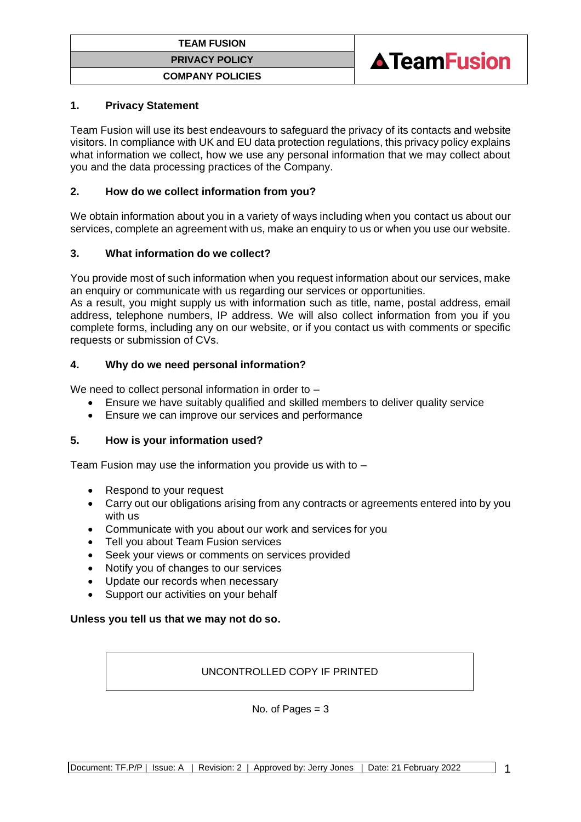



#### **1. Privacy Statement**

Team Fusion will use its best endeavours to safeguard the privacy of its contacts and website visitors. In compliance with UK and EU data protection regulations, this privacy policy explains what information we collect, how we use any personal information that we may collect about you and the data processing practices of the Company.

#### **2. How do we collect information from you?**

We obtain information about you in a variety of ways including when you contact us about our services, complete an agreement with us, make an enquiry to us or when you use our website.

#### **3. What information do we collect?**

You provide most of such information when you request information about our services, make an enquiry or communicate with us regarding our services or opportunities.

As a result, you might supply us with information such as title, name, postal address, email address, telephone numbers, IP address. We will also collect information from you if you complete forms, including any on our website, or if you contact us with comments or specific requests or submission of CVs.

#### **4. Why do we need personal information?**

We need to collect personal information in order to -

- Ensure we have suitably qualified and skilled members to deliver quality service
- Ensure we can improve our services and performance

#### **5. How is your information used?**

Team Fusion may use the information you provide us with to –

- Respond to your request
- Carry out our obligations arising from any contracts or agreements entered into by you with us
- Communicate with you about our work and services for you<br>• Tell you about Team Fusion services
- Tell you about Team Fusion services
- Seek your views or comments on services provided
- Notify you of changes to our services
- Update our records when necessary
- Support our activities on your behalf

#### **Unless you tell us that we may not do so.**

#### UNCONTROLLED COPY IF PRINTED

No. of Pages  $= 3$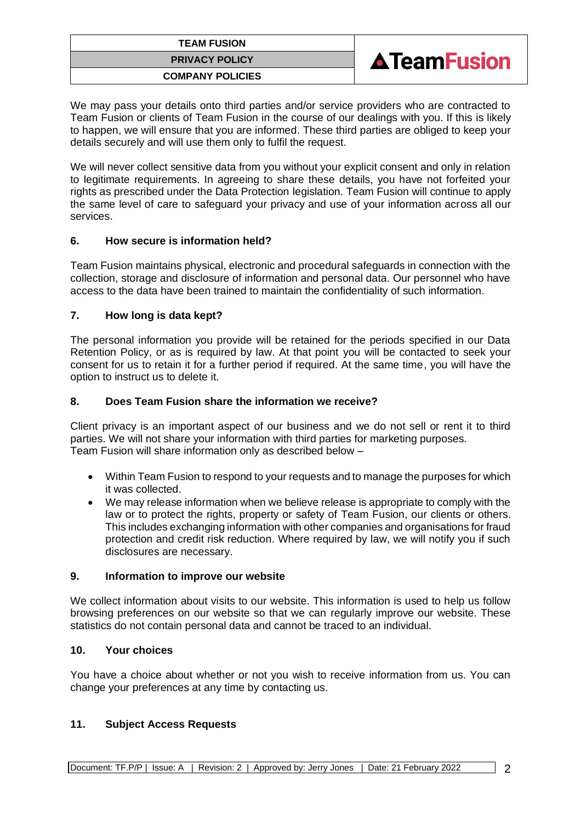# **TEAM FUSION PRIVACY POLICY COMPANY POLICIES**



We may pass your details onto third parties and/or service providers who are contracted to Team Fusion or clients of Team Fusion in the course of our dealings with you. If this is likely to happen, we will ensure that you are informed. These third parties are obliged to keep your details securely and will use them only to fulfil the request.

We will never collect sensitive data from you without your explicit consent and only in relation to legitimate requirements. In agreeing to share these details, you have not forfeited your rights as prescribed under the Data Protection legislation. Team Fusion will continue to apply the same level of care to safeguard your privacy and use of your information across all our services.

## **6. How secure is information held?**

Team Fusion maintains physical, electronic and procedural safeguards in connection with the collection, storage and disclosure of information and personal data. Our personnel who have access to the data have been trained to maintain the confidentiality of such information.

# **7. How long is data kept?**

The personal information you provide will be retained for the periods specified in our Data Retention Policy, or as is required by law. At that point you will be contacted to seek your consent for us to retain it for a further period if required. At the same time, you will have the option to instruct us to delete it.

# **8. Does Team Fusion share the information we receive?**

Client privacy is an important aspect of our business and we do not sell or rent it to third parties. We will not share your information with third parties for marketing purposes. Team Fusion will share information only as described below –

- Within Team Fusion to respond to your requests and to manage the purposes for which it was collected.
- We may release information when we believe release is appropriate to comply with the law or to protect the rights, property or safety of Team Fusion, our clients or others. This includes exchanging information with other companies and organisations for fraud protection and credit risk reduction. Where required by law, we will notify you if such disclosures are necessary.

## **9. Information to improve our website**

We collect information about visits to our website. This information is used to help us follow browsing preferences on our website so that we can regularly improve our website. These statistics do not contain personal data and cannot be traced to an individual.

## **10. Your choices**

You have a choice about whether or not you wish to receive information from us. You can change your preferences at any time by contacting us.

## **11. Subject Access Requests**